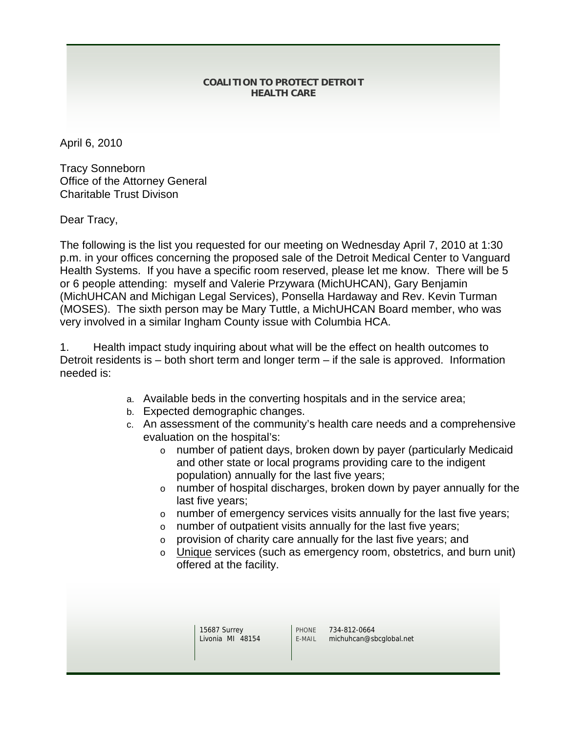## **COALITION TO PROTECT DETROIT HEALTH CARE**

April 6, 2010

Tracy Sonneborn Office of the Attorney General Charitable Trust Divison

Dear Tracy,

The following is the list you requested for our meeting on Wednesday April 7, 2010 at 1:30 p.m. in your offices concerning the proposed sale of the Detroit Medical Center to Vanguard Health Systems. If you have a specific room reserved, please let me know. There will be 5 or 6 people attending: myself and Valerie Przywara (MichUHCAN), Gary Benjamin (MichUHCAN and Michigan Legal Services), Ponsella Hardaway and Rev. Kevin Turman (MOSES). The sixth person may be Mary Tuttle, a MichUHCAN Board member, who was very involved in a similar Ingham County issue with Columbia HCA.

1. Health impact study inquiring about what will be the effect on health outcomes to Detroit residents is – both short term and longer term – if the sale is approved. Information needed is:

- a. Available beds in the converting hospitals and in the service area;
- b. Expected demographic changes.
- c. An assessment of the community's health care needs and a comprehensive evaluation on the hospital's:
	- o number of patient days, broken down by payer (particularly Medicaid and other state or local programs providing care to the indigent population) annually for the last five years;
	- o number of hospital discharges, broken down by payer annually for the last five years;
	- o number of emergency services visits annually for the last five years;
	- o number of outpatient visits annually for the last five years;
	- o provision of charity care annually for the last five years; and
	- o Unique services (such as emergency room, obstetrics, and burn unit) offered at the facility.

15687 Surrey Livonia MI 48154 PHONE 734-812-0664<br>E-MAIL michuhcan@sl michuhcan@sbcglobal.net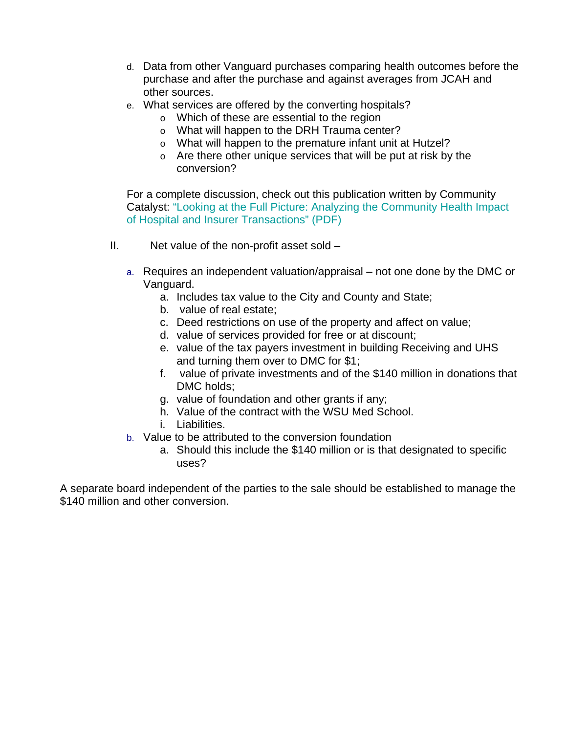- d. Data from other Vanguard purchases comparing health outcomes before the purchase and after the purchase and against averages from JCAH and other sources.
- e. What services are offered by the converting hospitals?
	- o Which of these are essential to the region
		- o What will happen to the DRH Trauma center?
		- o What will happen to the premature infant unit at Hutzel?
		- o Are there other unique services that will be put at risk by the conversion?

For a complete discussion, check out this publication written by Community Catalyst: "Looking at the Full Picture: Analyzing the Community Health Impact of Hospital and Insurer Transactions" (PDF)

- II. Net value of the non-profit asset sold
	- a. Requires an independent valuation/appraisal not one done by the DMC or Vanguard.
		- a. Includes tax value to the City and County and State;
		- b. value of real estate;
		- c. Deed restrictions on use of the property and affect on value;
		- d. value of services provided for free or at discount;
		- e. value of the tax payers investment in building Receiving and UHS and turning them over to DMC for \$1;
		- f. value of private investments and of the \$140 million in donations that DMC holds;
		- g. value of foundation and other grants if any;
		- h. Value of the contract with the WSU Med School.
		- i. Liabilities.
	- b. Value to be attributed to the conversion foundation
		- a. Should this include the \$140 million or is that designated to specific uses?

A separate board independent of the parties to the sale should be established to manage the \$140 million and other conversion.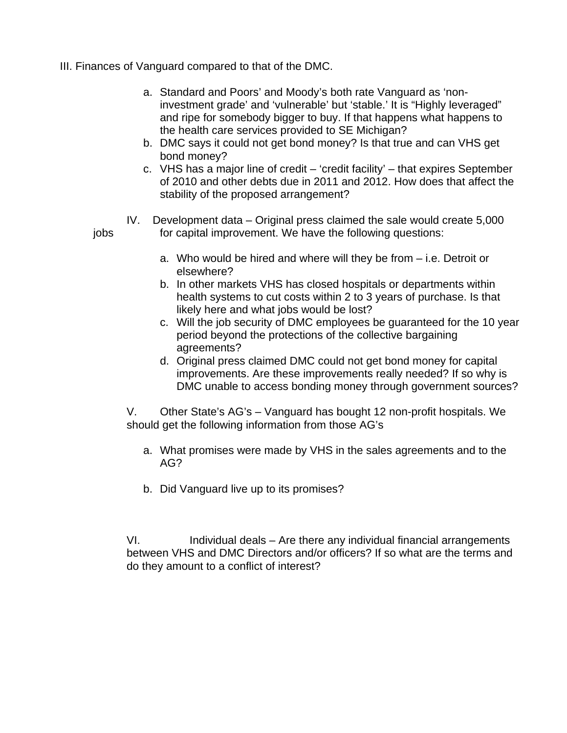- III. Finances of Vanguard compared to that of the DMC.
	- a. Standard and Poors' and Moody's both rate Vanguard as 'noninvestment grade' and 'vulnerable' but 'stable.' It is "Highly leveraged" and ripe for somebody bigger to buy. If that happens what happens to the health care services provided to SE Michigan?
	- b. DMC says it could not get bond money? Is that true and can VHS get bond money?
	- c. VHS has a major line of credit 'credit facility' that expires September of 2010 and other debts due in 2011 and 2012. How does that affect the stability of the proposed arrangement?
	- IV. Development data Original press claimed the sale would create 5,000 jobs for capital improvement. We have the following questions:
		- a. Who would be hired and where will they be from i.e. Detroit or elsewhere?
		- b. In other markets VHS has closed hospitals or departments within health systems to cut costs within 2 to 3 years of purchase. Is that likely here and what jobs would be lost?
		- c. Will the job security of DMC employees be guaranteed for the 10 year period beyond the protections of the collective bargaining agreements?
		- d. Original press claimed DMC could not get bond money for capital improvements. Are these improvements really needed? If so why is DMC unable to access bonding money through government sources?

V. Other State's AG's – Vanguard has bought 12 non-profit hospitals. We should get the following information from those AG's

- a. What promises were made by VHS in the sales agreements and to the AG?
- b. Did Vanguard live up to its promises?

VI. Individual deals – Are there any individual financial arrangements between VHS and DMC Directors and/or officers? If so what are the terms and do they amount to a conflict of interest?